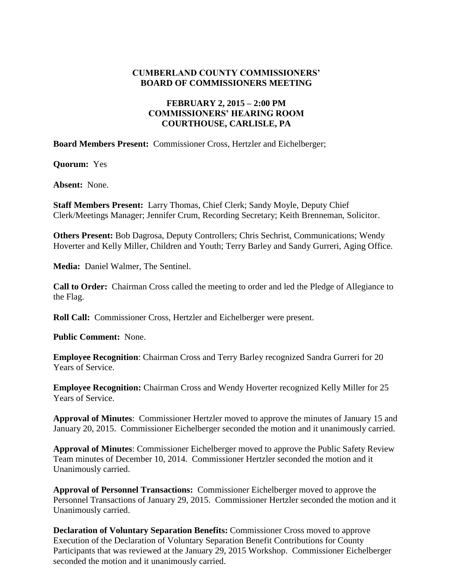#### **CUMBERLAND COUNTY COMMISSIONERS' BOARD OF COMMISSIONERS MEETING**

## **FEBRUARY 2, 2015 – 2:00 PM COMMISSIONERS' HEARING ROOM COURTHOUSE, CARLISLE, PA**

**Board Members Present:** Commissioner Cross, Hertzler and Eichelberger;

**Quorum:** Yes

**Absent:** None.

**Staff Members Present:** Larry Thomas, Chief Clerk; Sandy Moyle, Deputy Chief Clerk/Meetings Manager; Jennifer Crum, Recording Secretary; Keith Brenneman, Solicitor.

**Others Present:** Bob Dagrosa, Deputy Controllers; Chris Sechrist, Communications; Wendy Hoverter and Kelly Miller, Children and Youth; Terry Barley and Sandy Gurreri, Aging Office.

**Media:** Daniel Walmer, The Sentinel.

**Call to Order:** Chairman Cross called the meeting to order and led the Pledge of Allegiance to the Flag.

**Roll Call:** Commissioner Cross, Hertzler and Eichelberger were present.

**Public Comment:** None.

**Employee Recognition**: Chairman Cross and Terry Barley recognized Sandra Gurreri for 20 Years of Service.

**Employee Recognition:** Chairman Cross and Wendy Hoverter recognized Kelly Miller for 25 Years of Service.

**Approval of Minutes**: Commissioner Hertzler moved to approve the minutes of January 15 and January 20, 2015. Commissioner Eichelberger seconded the motion and it unanimously carried.

**Approval of Minutes**: Commissioner Eichelberger moved to approve the Public Safety Review Team minutes of December 10, 2014. Commissioner Hertzler seconded the motion and it Unanimously carried.

**Approval of Personnel Transactions:** Commissioner Eichelberger moved to approve the Personnel Transactions of January 29, 2015. Commissioner Hertzler seconded the motion and it Unanimously carried.

**Declaration of Voluntary Separation Benefits:** Commissioner Cross moved to approve Execution of the Declaration of Voluntary Separation Benefit Contributions for County Participants that was reviewed at the January 29, 2015 Workshop. Commissioner Eichelberger seconded the motion and it unanimously carried.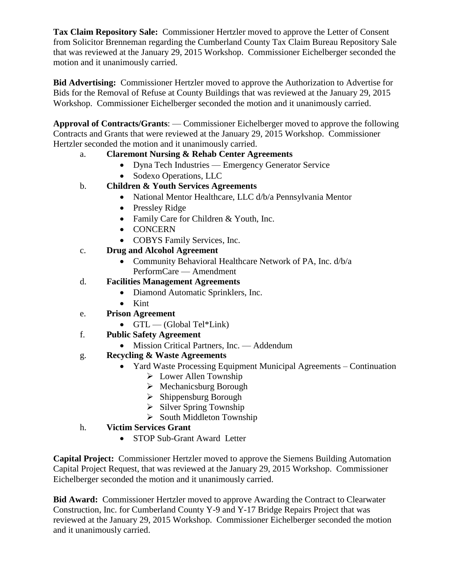**Tax Claim Repository Sale:** Commissioner Hertzler moved to approve the Letter of Consent from Solicitor Brenneman regarding the Cumberland County Tax Claim Bureau Repository Sale that was reviewed at the January 29, 2015 Workshop. Commissioner Eichelberger seconded the motion and it unanimously carried.

**Bid Advertising:** Commissioner Hertzler moved to approve the Authorization to Advertise for Bids for the Removal of Refuse at County Buildings that was reviewed at the January 29, 2015 Workshop. Commissioner Eichelberger seconded the motion and it unanimously carried.

**Approval of Contracts/Grants**: — Commissioner Eichelberger moved to approve the following Contracts and Grants that were reviewed at the January 29, 2015 Workshop. Commissioner Hertzler seconded the motion and it unanimously carried.

# a. **Claremont Nursing & Rehab Center Agreements**

- Dyna Tech Industries Emergency Generator Service
- Sodexo Operations, LLC
- b. **Children & Youth Services Agreements**
	- National Mentor Healthcare, LLC d/b/a Pennsylvania Mentor
	- Pressley Ridge
	- Family Care for Children & Youth, Inc.
	- CONCERN
	- COBYS Family Services, Inc.
- c. **Drug and Alcohol Agreement**
	- Community Behavioral Healthcare Network of PA, Inc. d/b/a PerformCare — Amendment

## d. **Facilities Management Agreements**

- Diamond Automatic Sprinklers, Inc.
- $\bullet$  Kint
- e. **Prison Agreement**
	- $\bullet$   $GTL$   $\rightarrow$   $(Global Tel*Link)$
- f. **Public Safety Agreement**
	- Mission Critical Partners, Inc. Addendum
- g. **Recycling & Waste Agreements**
	- Yard Waste Processing Equipment Municipal Agreements Continuation
		- Lower Allen Township
		- Mechanicsburg Borough
		- $\triangleright$  Shippensburg Borough
		- $\triangleright$  Silver Spring Township
		- $\triangleright$  South Middleton Township

## h. **Victim Services Grant**

• STOP Sub-Grant Award Letter

**Capital Project:** Commissioner Hertzler moved to approve the Siemens Building Automation Capital Project Request, that was reviewed at the January 29, 2015 Workshop. Commissioner Eichelberger seconded the motion and it unanimously carried.

**Bid Award:** Commissioner Hertzler moved to approve Awarding the Contract to Clearwater Construction, Inc. for Cumberland County Y-9 and Y-17 Bridge Repairs Project that was reviewed at the January 29, 2015 Workshop. Commissioner Eichelberger seconded the motion and it unanimously carried.